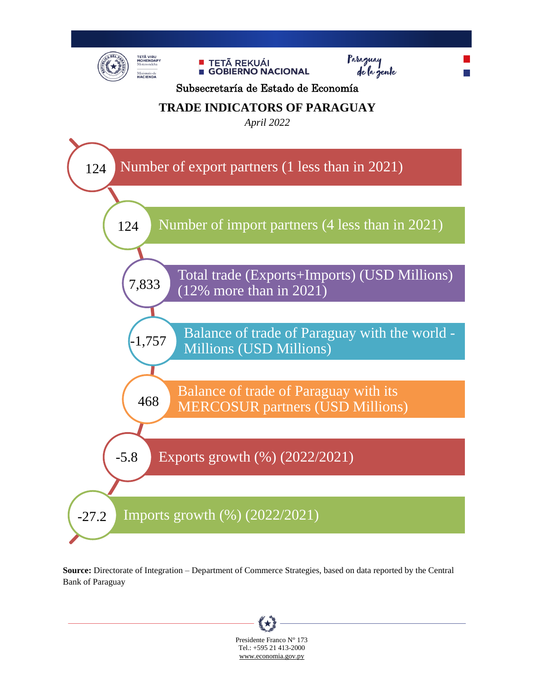

**Source:** Directorate of Integration – Department of Commerce Strategies, based on data reported by the Central Bank of Paraguay

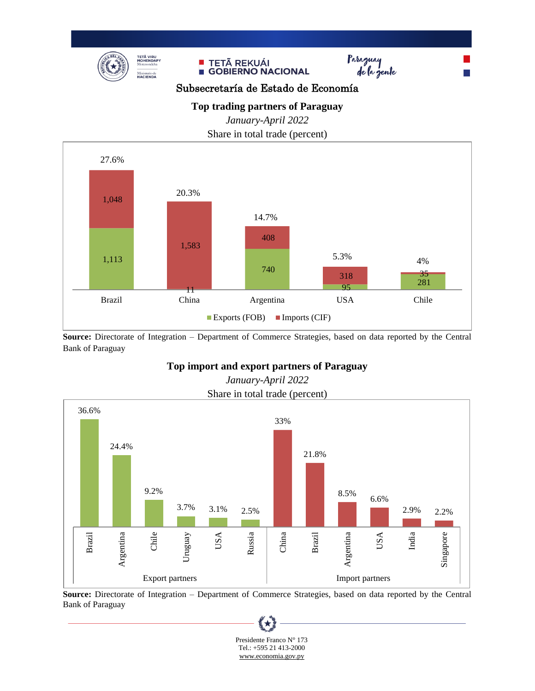





Subsecretaría de Estado de Economía

## **Top trading partners of Paraguay**

*January-April 2022*

Share in total trade (percent)



**Source:** Directorate of Integration – Department of Commerce Strategies, based on data reported by the Central Bank of Paraguay

## **Top import and export partners of Paraguay**



*January-April 2022* Share in total trade (percent)

**Source:** Directorate of Integration – Department of Commerce Strategies, based on data reported by the Central Bank of Paraguay

大

 Presidente Franco N° 173 Tel.: +595 21 413-2000 [www.economia.gov.py](http://www.economia.gov.py/)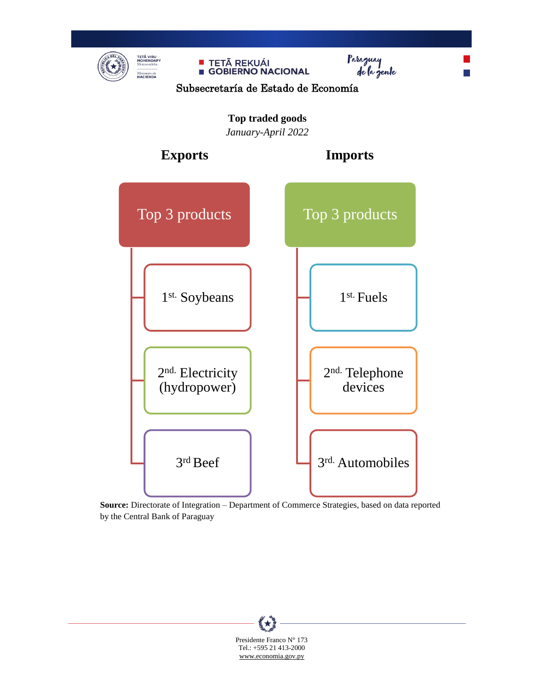

**Source:** Directorate of Integration – Department of Commerce Strategies, based on data reported by the Central Bank of Paraguay

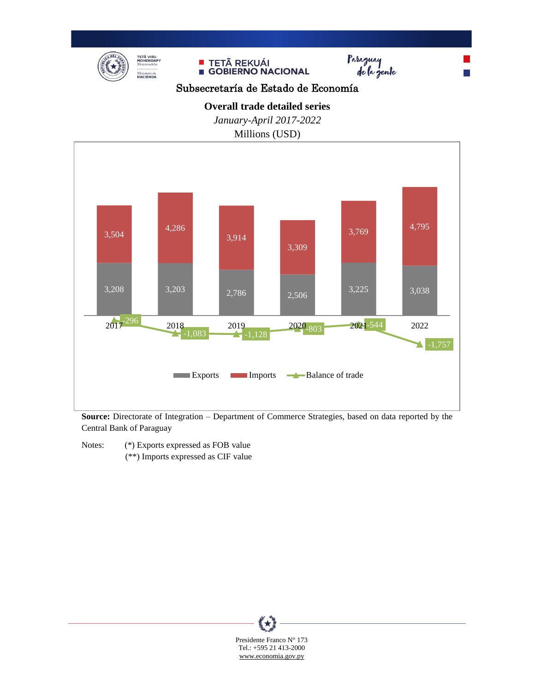





m.

Subsecretaría de Estado de Economía

**Overall trade detailed series**

*January-April 2017-2022*

Millions (USD)



**Source:** Directorate of Integration – Department of Commerce Strategies, based on data reported by the Central Bank of Paraguay

Notes: (\*) Exports expressed as FOB value

(\*\*) Imports expressed as CIF value